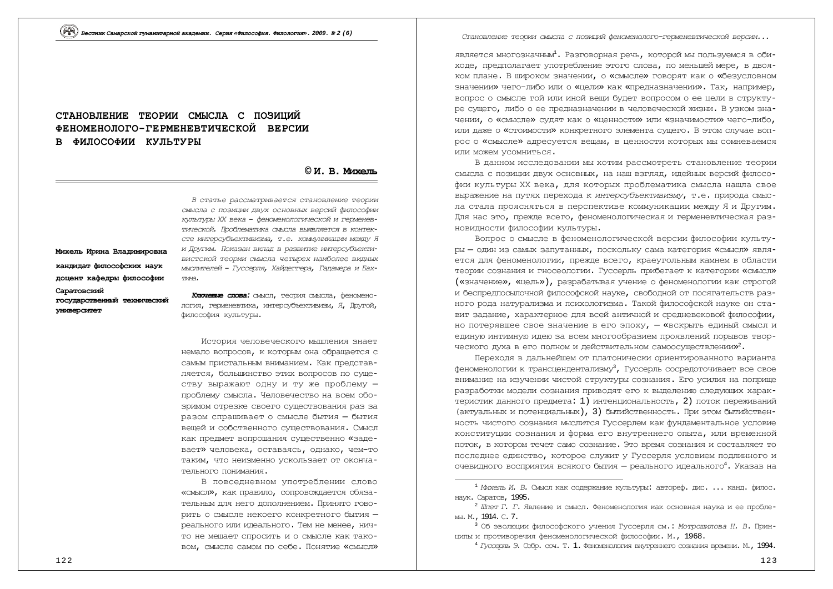# СТАНОВЛЕНИЕ ТЕОРИИ СМЫСЛА С ПОЗИШИЙ **ɎȿɇɈɆȿɇɈɅɈȽɈȽȿɊɆȿɇȿȼɌɂɑȿɋɄɈɃ ȼȿɊɋɂɂ** В ФИЛОСОФИИ КУЛЬТУРЫ

### **© ɂ. ȼ. Ɇɢɯɟɥɶ**

Михель Ирина Владимировна кандидат философских наук доцент кафедры философии Capa<del>л</del>овский государственный технический **VHMBepCMTeT** 

 $B$  статье рассматривается становление теории смысла с позиции двух основных версий философии күльтүры XX века - феноменологической и герменевтической. Проблематика смысла выявляется в контексте интерсубъективизма, т.е. коммуникации между Я и Другим. Показан вклад в развитие интерсубъективистской теории смысла четырех наиболее видных *ɦɵɫɥɢɬɟɥɟɣ – Ƚɭɫɫɟɪɥɹ, ɏɚɣɞɟɝɝɟɪɚ, ȽɚɞɚɦɟɪɚɢȻɚɯ-* $\pi$  $\pi$ 

**Ключевые слова:** смысл, теория смысла, феноменология, герменевтика, интерсубъективизм, Я, Другой, философия культуры.

История человеческого мышления знает HeMajio Bonpocob, к которым она обращается с самым пристальным вниманием. Как представляется, большинство этих вопросов по существу выражают одну и ту же проблему проблему смысла. Человечество на всем обозримом отрезке своего существования раз за разом спрашивает о смысле бытия - бытия вещей и собственного существования. Смысл как предмет вопрошания существенно «задевает» человека, оставаясь, однако, чем-то таким, что неизменно ускользает от окончательного понимания.

В повседневном употреблении слово «СМЫСЛ», как правило, сопровождается обязательным для него дополнением. Принято говорить о смысле некоего конкретного бытия реального или идеального. Тем не менее, ничто не мешает спросить и о смысле как таковом, смысле самом по себе. Понятие «смысл» *ɋɬɚɧɨɜɥɟɧɢɟɬɟɨɪɢɢɫɦɵɫɥɚɫɩɨɡɢɰɢɣɮɟɧɨɦɟɧɨɥɨɝɨɝɟɪɦɟɧɟɜɬɢɱɟɫɤɨɣɜɟɪɫɢɢ...*

является многозначным<sup>1</sup>. Разговорная речь, которой мы пользуемся в обиходе, предполагает употребление этого слова, по меньшей мере, в двояком плане. В широком значении, о «смысле» говорят как о «безусловном значении» чего-либо или о «цели» как «предназначении». Так, например, вопрос о смысле той или иной вещи будет вопросом о ее цели в структуре сущего, либо о ее предназначении в человеческой жизни. В узком значении, о «смысле» судят как о «ценности» или «значимости» чего-либо, или даже о «стоимости» конкретного элемента сущего. В этом случае вопрос о «смысле» адресуется вещам, в ценности которых мы сомневаемся или можем усомниться.

В данном исследовании мы хотим рассмотреть становление теории смысла с позиции двух основных, на наш взгляд, идейных версий философии культуры XX века, для которых проблематика смысла нашла свое выражение на путях перехода к интерсубъективизму, т.е. природа смысла стала проясняться в перспективе коммуникации между Я и Другим. Для нас это, прежде всего, феноменологическая и герменевтическая разновидности философии культуры.

Вопрос о смысле в феноменологической версии философии культуры - один из самых запутанных, поскольку сама категория «смысл» является для феноменологии, прежде всего, краеугольным камнем в области теории сознания и гносеологии. Гуссерль прибегает к категории «смысл» («значение», «цель»), разрабатывая учение о феноменологии как строгой и беспредпосылочной философской науке, свободной от посягательств разного рода натурализма и психологизма. Такой философской науке он ставит задание, характерное для всей античной и средневековой философии, но потерявшее свое значение в его эпоху, - «вскрыть единый смысл и единую интимную идею за всем многообразием проявлений порывов творческого духа в его полном и действительном самоосуществлении»<sup>2</sup>.

Переходя в дальнейшем от платонически ориентированного варианта феноменологии к трансцендентализму<sup>3</sup>, Гуссерль сосредоточивает все свое внимание на изучении чистой структуры сознания. Его усилия на поприше разработки модели сознания приводят его к выделению следующих характеристик данного предмета: 1) интенциональность, 2) поток переживаний (актуальных и потенциальных), 3) бытийственность. При этом бытийственность чистого сознания мыслится Гуссерлем как фундаментальное условие конституции сознания и форма его внутреннего опыта, или временной поток, в котором течет само сознание. Это время сознания и составляет то последнее единство, которое служит у Гуссерля условием подлинного и очевидного восприятия всякого бытия — реального идеального<sup>4</sup>. Указав на

<sup>&</sup>lt;sup>1</sup> Михель И. В. Смысл как содержание культуры: автореф. дис. ... канд. филос. HAVK. Caparob, 1995.

<sup>&</sup>lt;sup>2</sup> Шлет Г. Г. Явление и смысл. Феноменология как основная наука и ее пробле-M<sub>bl</sub>. M., 1914. C. 7.

<sup>&</sup>lt;sup>3</sup> Об эволюции философского учения Гуссерля см.: Мо*трошилова Н. В.* Принщипы и противоречия феноменологической философии. М., 1968.

<sup>&</sup>lt;sup>4</sup> *Гуссерль* Э. Собр. соч. Т. 1. Феноменология внутреннего сознания времени. М., 1994.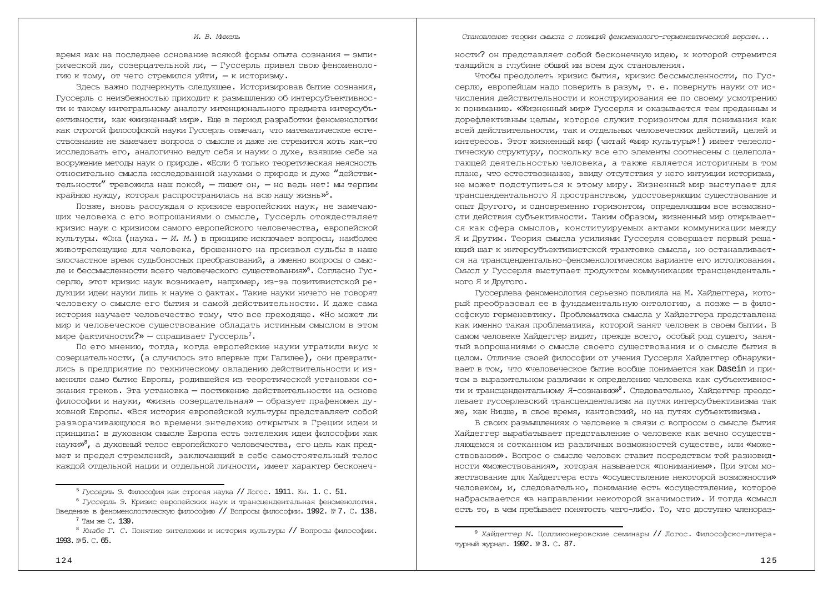#### *ɋɬɚɧɨɜɥɟɧɢɟɬɟɨɪɢɢɫɦɵɫɥɚɫɩɨɡɢɰɢɣɮɟɧɨɦɟɧɨɥɨɝɨɝɟɪɦɟɧɟɜɬɢɱɟɫɤɨɣɜɟɪɫɢɢ...*

#### *И. В. Михель*

время как на последнее основание всякой формы опыта сознания - эмпирической ли, созерцательной ли, - Гуссерль привел свою феноменоло-ГИЮ К ТОМУ, ОТ ЧЕГО СТОЕМИЛСЯ VЙТИ, — К ИСТООИЗМУ.

Здесь важно подчеркнуть следующее. Историзировав бытие сознания, Гуссерль с неизбежностью приходит к размышлению об интерсубъективности и такому интегральному аналогу интенционального предмета интерсубъективности, как «жизненный мир». Еще в период разработки феноменологии как строгой философской науки Гуссерль отмечал, что математическое естествознание не замечает вопроса о смысле и даже не стремится хоть как-то исследовать его, аналогично ведут себя и науки о духе, взявшие себе на вооружение методы наук о природе. «Если б только теоретическая неясность относительно смысла исследованной науками о природе и духе "действительности" тревожила наш покой, - пишет он, - но ведь нет: мы терпим крайнюю нужду, которая распространилась на всю нашу жизнь»<sup>5</sup>.

Позже, вновь рассуждая о кризисе европейских наук, не замечающих человека с его вопрошаниями о смысле, Гуссерль отождествляет кризис наук с кризисом самого европейского человечества, европейской культуры. «Она (наука. — *И. М.*) в принципе исключает вопросы, наиболее животрепещущие для человека, брошенного на произвол судьбы в наше злосчастное время судьбоносных преобразований, а именно вопросы о смысле и бессмысленности всего человеческого существования»<sup>6</sup>. Согласно Гуссерлю, этот кризис наук возникает, например, из-за позитивистской редукции идеи науки лишь к науке о фактах. Такие науки ничего не говорят человеку о смысле его бытия и самой действительности. И даже сама история научает человечество тому, что все преходяще. «Но может ли мир и человеческое существование обладать истинным смыслом в этом мире фактичности?» — спрашивает Гуссерль<sup>7</sup>.

По его мнению, тогда, когда европейские науки утратили вкус к созернательности, (а случилось это впервые при Галилее), они превратились в предприятие по техническому овладению действительности и изменили само бытие Европы, родившейся из теоретической установки сознания греков. Эта установка – постижение действительности на основе философии и науки, «жизнь созерцательная» - образует прафеномен духовной Европы. «Вся история европейской культуры представляет собой разворачивающуюся во времени энтелехию открытых в Греции идеи и принципа: в духовном смысле Европа есть энтелехия идеи философии как науки»<sup>8</sup>, а духовный телос европейского человечества, его цель как предмет и предел стремлений, заключающий в себе самостоятельный телос каждой отдельной нации и отдельной личности, имеет характер бесконеч-

<sup>8</sup> Кнабе Г. С. Понятие энтелехии и история культуры // Вопросы философии. 1993. № 5. С. 65.

ности? он представляет собой бесконечную идею, к которой стремится таящийся в глубине общий им всем дух становления.

Чтобы преодолеть кризис бытия, кризис бессмысленности, по Гуссерлю, европейцам надо поверить в разум, т. е. повернуть науки от исчисления действительности и конструирования ее по своему усмотрению к пониманию. «Жизненный мир» Гуссерля и оказывается тем преданным и дорефлективным целым, которое служит горизонтом для понимания как всей действительности, так и отдельных человеческих действий, целей и ИНТЕРЕСОВ. ЭТОТ ЖИЗНЕННЫЙ МИР (ЧИТАЙ «МИР КУЛЬТУРЫ»!) ИМЕЕТ ТЕЛЕОЛОгическую структуру, поскольку все его элементы соотнесены с целеполагающей деятельностью человека, а также является историчным в том плане, что естествознание, ввиду отсутствия у него интуиции историзма, не может подступиться к этому миру. Жизненный мир выступает для трансцендентального Я пространством, удостоверяющим существование и опыт Другого, и одновременно горизонтом, определяющим все возможности действия субъективности. Таким образом, жизненный мир открывается как сфера смыслов, конституируемых актами коммуникации между Я и Другим. Теория смысла усилиями Гуссерля совершает первый решакщий шаг к интерсубъективистской трактовке смысла, но останавливается на трансцендентально-феноменологическом варианте его истолкования. Смысл у Гуссерля выступает продуктом коммуникации трансцендентального Я и Другого.

Гуссерлева феноменология серьезно повлияла на М. Хайдеггера, который преобразовал ее в фундаментальную онтологию, а позже — в философскую герменевтику. Проблематика смысла у Хайдеггера представлена как именно такая проблематика, которой занят человек в своем бытии. В самом человеке Хайдеггер видит, прежде всего, особый род сущего, занятый вопрошаниями о смысле своего существования и о смысле бытия в целом. Отличие своей философии от учения Гуссерля Хайдеггер обнаружи-BAeT B TOM, YTO «YEJOBEYECKOE ÖLTIME BOOÕILE NOHIMAETCA KAK DASEIN И ПРИтом в выразительном различии к определению человека как субъективности и трансцендентальному Я-сознанию»<sup>9</sup>. Следовательно, Хайдеггер преодолевает гуссерлевский трансцендентализм на путях интерсубъективизма так же, как Ницше, в свое время, кантовский, но на путях субъективизма.

В своих размышлениях о человеке в связи с вопросом о смысле бытия Хайдеггер вырабатывает представление о человеке как вечно осуществ-ЛЯЮЩЕМСЯ И СОТКАННОМ ИЗ РАЗЛИЧНЫХ ВОЗМОЖНОСТЕЙ СУЩЕСТВЕ, ИЛИ «МОЖЕствовании». Вопрос о смысле человек ставит посредством той разновид-НОСТИ «МОЖЕСТВОВАНИЯ», КОТОРАЯ НАЗЫВАЕТСЯ «ПОНИМАНИЕМ». При этом можествование для Хайдеггера есть «осуществление некоторой возможности» человеком, и, следовательно, понимание есть «осуществление, которое набрасывается «в направлении некоторой значимости». И тогда «смысл есть то, в чем пребывает понятость чего-либо. То, что доступно членораз-

<sup>&</sup>lt;sup>5</sup> *Гуссерль* Э. Философия как строгая наука // Логос. 1911. Кн. 1. С. 51.

<sup>&</sup>lt;sup>6</sup> *Гуссерль* Э. Кризис европейских наук и трансцендентальная феноменология. Введение в феноменологическую философию // Вопросы философии. 1992. № 7. С. 138.  $7$  Tam  $\times$  139.

<sup>&</sup>lt;sup>9</sup> Хайдеггер М. Цолликонеровские семинары // Логос. Философско-литературњий журнал. 1992. № 3. С. 87.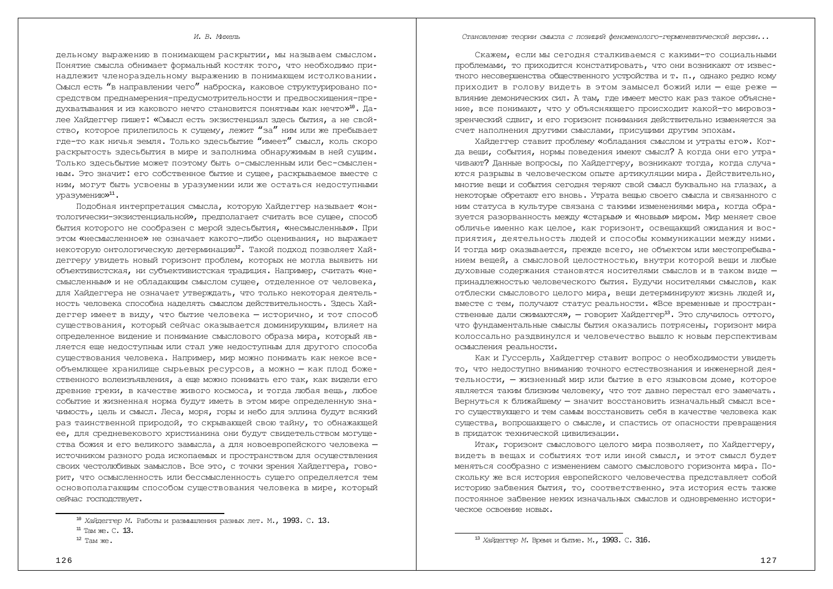#### *И. В. Михель*

дельному выражению в понимающем раскрытии, мы называем смыслом. Понятие смысла обнимает формальный костяк того, что необходимо принадлежит членораздельному выражению в понимающем истолковании. Смысл есть "в направлении чего" наброска, каковое структурировано посредством преднамерения-предусмотрительности и предвосхищения-предухватывания и из какового нечто становится понятным как нечто»<sup>10</sup>. Далее Хайдеггер пишет: «Смысл есть экзистенциал здесь бытия, а не свойство, которое прилепилось к сущему, лежит "за" ним или же пребывает где-то как ничья земля. Только здесьбытие "имеет" смысл, коль скоро раскрытость здесьбытия в мире и заполнима обнаружимым в ней сущим. ТОЛЬКО ЗДЕСЬбЫТИЕ МОЖЕТ ПОЭТОМУ бЫТЬ О-СМЫСЛЕННЫМ ИЛИ бес-СМЫСЛЕН-НЫМ. Это значит: его собственное бытие и сущее, раскрываемое вместе с ним, могут быть усвоены в уразумении или же остаться недоступными уразумению»<sup>11</sup>.

Подобная интерпретация смысла, которую Хайдеггер называет «онтологически-экзистенциальной», предполагает считать все сущее, способ бытия которого не сообразен с мерой здесьбытия, «несмысленным». При этом «несмысленное» не означает какого-либо оценивания, но выражает некоторую онтологическую детерминацию<sup>12</sup>. Такой подход позволяет Хайдеггеру увидеть новый горизонт проблем, которых не могла выявить ни объективистская, ни субъективистская традиция. Например, считать «несмысленным» и не обладающим смыслом сущее, отделенное от человека, для Хайдеггера не означает утверждать, что только некоторая деятельность человека способна наделять смыслом действительность. Здесь Хайдеггер имеет в виду, что бытие человека - исторично, и тот способ с∨шествования, который сейчас оказывается доминирующим, влияет на определенное видение и понимание смыслового образа мира, который является еще недоступным или стал уже недоступным для другого способа существования человека. Например, мир можно понимать как некое всеобъемлющее хранилище сырьевых ресурсов, а можно - как плод боже-СТВЕННОГО ВОЛЕИЗЪЯВЛЕНИЯ, а ЕЩЕ МОЖНО ПОНИМАТЬ ЕГО ТАК, КАК ВИДЕЛИ ЕГО древние греки, в качестве живого космоса, и тогда любая вещь, любое событие и жизненная норма будут иметь в этом мире определенную значимость, цель и смысл. Леса, моря, горы и небо для эллина будут всякий раз таинственной природой, то скрывающей свою тайну, то обнажающей ее, для средневекового христианина они будут свидетельством могущества божия и его великого замысла, а для новоевропейского человека источником разного рода ископаемых и пространством для осуществления своих честолюбивых замыслов. Все это, с точки зрения Хайдеггера, говорит, что осмысленность или бессмысленность сущего определяется тем основополагающим способом существования человека в мире, который сейчас госполствует.

*ɋɬɚɧɨɜɥɟɧɢɟɬɟɨɪɢɢɫɦɵɫɥɚɫɩɨɡɢɰɢɣɮɟɧɨɦɟɧɨɥɨɝɨɝɟɪɦɟɧɟɜɬɢɱɟɫɤɨɣɜɟɪɫɢɢ...*

Скажем, если мы сегодня сталкиваемся с какими-то социальными ПРОблемами, то приходится констатировать, что они возникают от извес-THOTO HECOBEDIIEHCTBA OÕIIECTBEHHOTO VCTOOЙCTBA И Т. П., ОЛНАКО DEЛКО КОМУ приходит в голову видеть в этом замысел божий или - еще реже влияние лемонических сил. А там, гле имеет место как раз такое объяснение, все понимают, что у объясняющего происходит какой-то мировоззренческий сдвиг, и его горизонт понимания действительно изменяется за счет наполнения другими смыслами, присущими другим эпохам.

Хайдеггер ставит проблему «обладания смыслом и утраты его». Когда вещи, события, нормы поведения имеют смысл? А когда они его утрачивают? Данные вопросы, по Хайдеггеру, возникают тогда, когда случаются разрывы в человеческом опыте артикуляции мира. Действительно, многие вещи и события сегодня теряют свой смысл буквально на глазах, а некоторые обретают его вновь. Утрата вещью своего смысла и связанного с ним статуса в культуре связана с такими изменениями мира, когда образуется разорванность между «старым» и «новым» миром. Мир меняет свое обличье именно как целое, как горизонт, освещающий ожидания и восприятия, деятельность людей и способы коммуникации между ними. И тогда мир оказывается, прежде всего, не объектом или местопребыванием вещей, а смысловой целостностью, внутри которой вещи и любые духовные содержания становятся носителями смыслов и в таком виде принадлежностью человеческого бытия. Будучи носителями смыслов, как отблески смыслового целого мира, вещи детерминируют жизнь людей и, вместе с тем, получают статус реальности. «Все временные и простран- $CTBEHHBE$  дали  $CXIMABVTCA*$ , — говорит Хайдеггер $^{13}$ . Это случилось оттого, что фундаментальные смыслы бытия оказались потрясены, горизонт мира колоссально раздвинулся и человечество вышло к новым перспективам осмысления реальности.

Как и Гуссерль, Хайдеггер ставит вопрос о необходимости увидеть то, что недоступно вниманию точного естествознания и инженерной деятельности, — жизненный мир или бытие в его языковом доме, которое является таким близким человеку, что тот давно перестал его замечать. Вернуться к ближайшему - значит восстановить изначальный смысл всего существующего и тем самым восстановить себя в качестве человека как существа, вопрошающего о смысле, и спастись от опасности превращения в придаток технической цивилизации.

Итак, горизонт смыслового целого мира позволяет, по Хайдеггеру, видеть в вещах и событиях тот или иной смысл, и этот смысл будет меняться сообразно с изменением самого смыслового горизонта мира. Поскольку же вся история европейского человечества представляет собой историю забвения бытия, то, соответственно, эта история есть также постоянное забвение неких изначальных смыслов и одновременно истори-**YACKOA OCBOAHNA HOBHX.** 

<sup>&</sup>lt;sup>10</sup> Хайдегтер М. Работы и размышления разных лет. М., 1993. С. 13.

 $11$  Tam  $xe$ . C. 13.

 $12$  Там же.

<sup>&</sup>lt;sup>13</sup> Хайдегтер М. Время и бытие. М., 1993. С. 316.